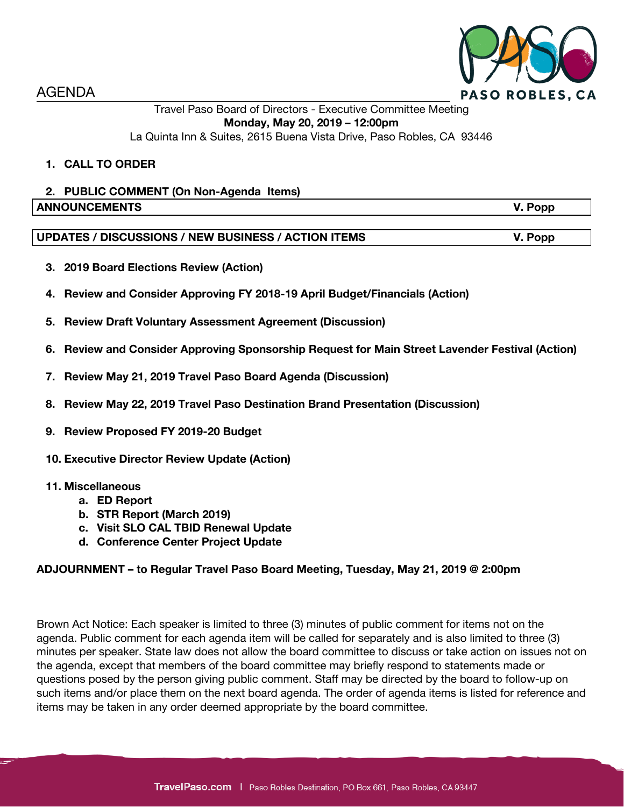

AGENDA

## Travel Paso Board of Directors - Executive Committee Meeting **Monday, May 20, 2019 – 12:00pm** La Quinta Inn & Suites, 2615 Buena Vista Drive, Paso Robles, CA 93446

# **1. CALL TO ORDER**

# **2. PUBLIC COMMENT (On Non-Agenda Items) ANNOUNCEMENTS V. Popp**

## **UPDATES / DISCUSSIONS / NEW BUSINESS / ACTION ITEMS V. Popp**

- **3. 2019 Board Elections Review (Action)**
- **4. Review and Consider Approving FY 2018-19 April Budget/Financials (Action)**
- **5. Review Draft Voluntary Assessment Agreement (Discussion)**
- **6. Review and Consider Approving Sponsorship Request for Main Street Lavender Festival (Action)**
- **7. Review May 21, 2019 Travel Paso Board Agenda (Discussion)**
- **8. Review May 22, 2019 Travel Paso Destination Brand Presentation (Discussion)**
- **9. Review Proposed FY 2019-20 Budget**
- **10. Executive Director Review Update (Action)**

### **11. Miscellaneous**

- **a. ED Report**
- **b. STR Report (March 2019)**
- **c. Visit SLO CAL TBID Renewal Update**
- **d. Conference Center Project Update**

### **ADJOURNMENT – to Regular Travel Paso Board Meeting, Tuesday, May 21, 2019 @ 2:00pm**

Brown Act Notice: Each speaker is limited to three (3) minutes of public comment for items not on the agenda. Public comment for each agenda item will be called for separately and is also limited to three (3) minutes per speaker. State law does not allow the board committee to discuss or take action on issues not on the agenda, except that members of the board committee may briefly respond to statements made or questions posed by the person giving public comment. Staff may be directed by the board to follow-up on such items and/or place them on the next board agenda. The order of agenda items is listed for reference and items may be taken in any order deemed appropriate by the board committee.